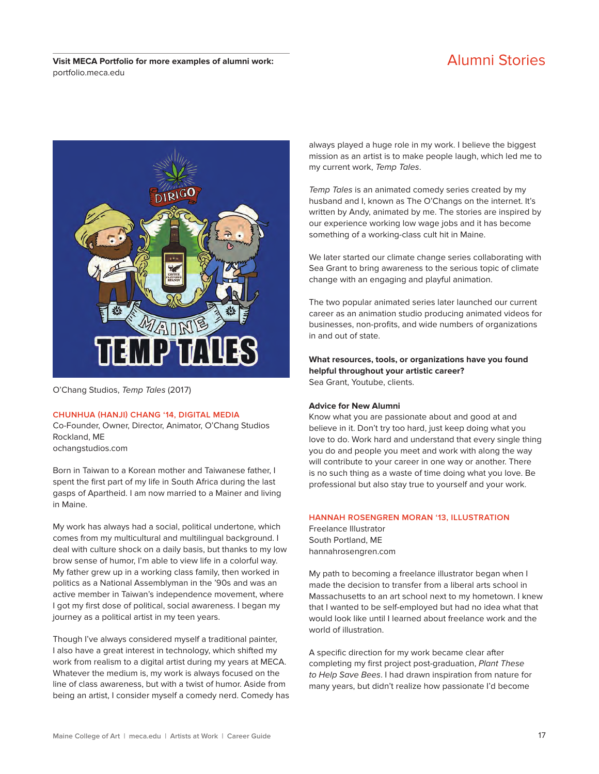Visit MECA Portfolio for more examples of alumni work: Alumni Stories portfolio.meca.edu



O'Chang Studios, Temp Tales (2017)

#### **CHUNHUA (HANJI) CHANG '14, DIGITAL MEDIA**

Co-Founder, Owner, Director, Animator, O'Chang Studios Rockland, ME ochangstudios.com

Born in Taiwan to a Korean mother and Taiwanese father, I spent the first part of my life in South Africa during the last gasps of Apartheid. I am now married to a Mainer and living in Maine.

My work has always had a social, political undertone, which comes from my multicultural and multilingual background. I deal with culture shock on a daily basis, but thanks to my low brow sense of humor, I'm able to view life in a colorful way. My father grew up in a working class family, then worked in politics as a National Assemblyman in the '90s and was an active member in Taiwan's independence movement, where I got my first dose of political, social awareness. I began my journey as a political artist in my teen years.

Though I've always considered myself a traditional painter, I also have a great interest in technology, which shifted my work from realism to a digital artist during my years at MECA. Whatever the medium is, my work is always focused on the line of class awareness, but with a twist of humor. Aside from being an artist, I consider myself a comedy nerd. Comedy has always played a huge role in my work. I believe the biggest mission as an artist is to make people laugh, which led me to my current work, Temp Tales.

Temp Tales is an animated comedy series created by my husband and I, known as The O'Changs on the internet. It's written by Andy, animated by me. The stories are inspired by our experience working low wage jobs and it has become something of a working-class cult hit in Maine.

We later started our climate change series collaborating with Sea Grant to bring awareness to the serious topic of climate change with an engaging and playful animation.

The two popular animated series later launched our current career as an animation studio producing animated videos for businesses, non-profits, and wide numbers of organizations in and out of state.

**What resources, tools, or organizations have you found helpful throughout your artistic career?**  Sea Grant, Youtube, clients.

#### **Advice for New Alumni**

Know what you are passionate about and good at and believe in it. Don't try too hard, just keep doing what you love to do. Work hard and understand that every single thing you do and people you meet and work with along the way will contribute to your career in one way or another. There is no such thing as a waste of time doing what you love. Be professional but also stay true to yourself and your work.

#### **HANNAH ROSENGREN MORAN '13, ILLUSTRATION**

Freelance Illustrator South Portland, ME hannahrosengren.com

My path to becoming a freelance illustrator began when I made the decision to transfer from a liberal arts school in Massachusetts to an art school next to my hometown. I knew that I wanted to be self-employed but had no idea what that would look like until I learned about freelance work and the world of illustration.

A specific direction for my work became clear after completing my first project post-graduation, Plant These to Help Save Bees. I had drawn inspiration from nature for many years, but didn't realize how passionate I'd become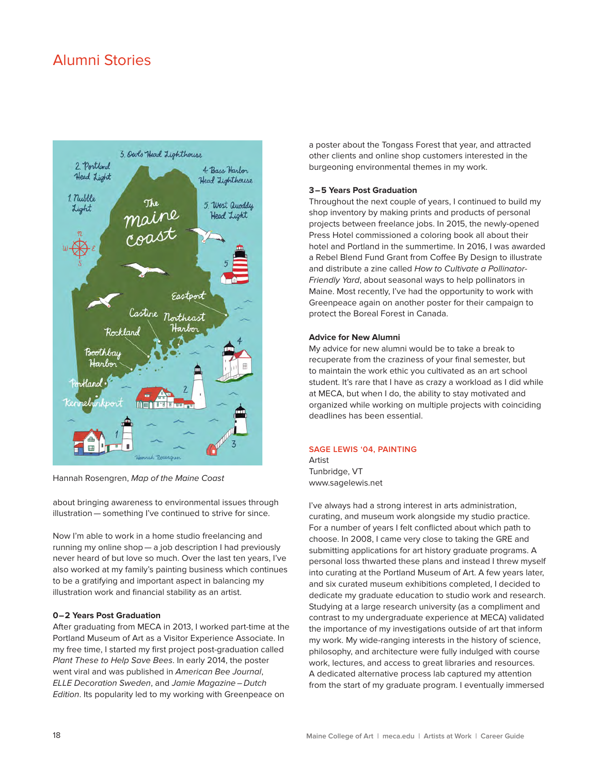## Alumni Stories



Hannah Rosengren, Map of the Maine Coast

about bringing awareness to environmental issues through illustration — something I've continued to strive for since.

Now I'm able to work in a home studio freelancing and running my online shop — a job description I had previously never heard of but love so much. Over the last ten years, I've also worked at my family's painting business which continues to be a gratifying and important aspect in balancing my illustration work and financial stability as an artist.

#### **0–2 Years Post Graduation**

After graduating from MECA in 2013, I worked part-time at the Portland Museum of Art as a Visitor Experience Associate. In my free time, I started my first project post-graduation called Plant These to Help Save Bees. In early 2014, the poster went viral and was published in American Bee Journal, ELLE Decoration Sweden, and Jamie Magazine – Dutch Edition. Its popularity led to my working with Greenpeace on

a poster about the Tongass Forest that year, and attracted other clients and online shop customers interested in the burgeoning environmental themes in my work.

#### **3–5 Years Post Graduation**

Throughout the next couple of years, I continued to build my shop inventory by making prints and products of personal projects between freelance jobs. In 2015, the newly-opened Press Hotel commissioned a coloring book all about their hotel and Portland in the summertime. In 2016, I was awarded a Rebel Blend Fund Grant from Cofee By Design to illustrate and distribute a zine called How to Cultivate a Pollinator-Friendly Yard, about seasonal ways to help pollinators in Maine. Most recently, I've had the opportunity to work with Greenpeace again on another poster for their campaign to protect the Boreal Forest in Canada.

#### **Advice for New Alumni**

My advice for new alumni would be to take a break to recuperate from the craziness of your final semester, but to maintain the work ethic you cultivated as an art school student. It's rare that I have as crazy a workload as I did while at MECA, but when I do, the ability to stay motivated and organized while working on multiple projects with coinciding deadlines has been essential.

#### **SAGE LEWIS '04, PAINTING**

Artist Tunbridge, VT www.sagelewis.net

I've always had a strong interest in arts administration, curating, and museum work alongside my studio practice. For a number of years I felt conflicted about which path to choose. In 2008, I came very close to taking the GRE and submitting applications for art history graduate programs. A personal loss thwarted these plans and instead I threw myself into curating at the Portland Museum of Art. A few years later, and six curated museum exhibitions completed, I decided to dedicate my graduate education to studio work and research. Studying at a large research university (as a compliment and contrast to my undergraduate experience at MECA) validated the importance of my investigations outside of art that inform my work. My wide-ranging interests in the history of science, philosophy, and architecture were fully indulged with course work, lectures, and access to great libraries and resources. A dedicated alternative process lab captured my attention from the start of my graduate program. I eventually immersed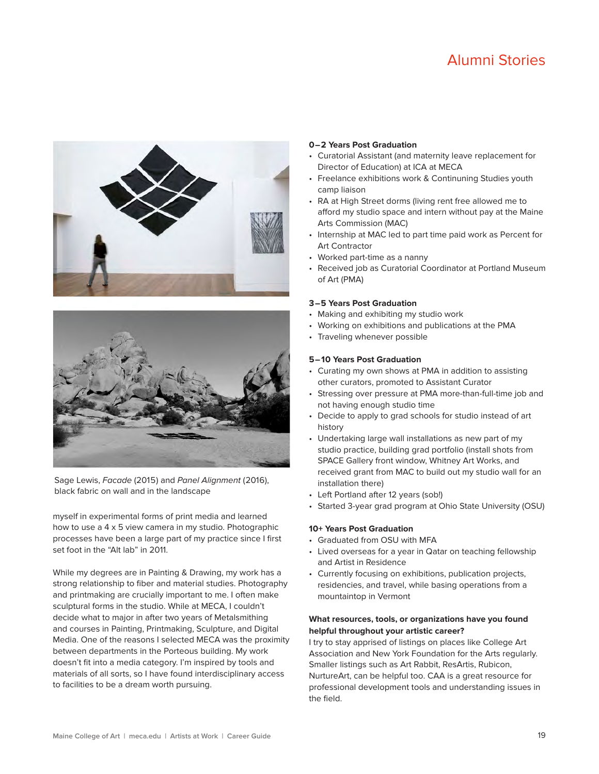# Alumni Stories





Sage Lewis, Facade (2015) and Panel Alignment (2016), black fabric on wall and in the landscape

myself in experimental forms of print media and learned how to use a 4 x 5 view camera in my studio. Photographic processes have been a large part of my practice since I first set foot in the "Alt lab" in 2011.

While my degrees are in Painting & Drawing, my work has a strong relationship to fiber and material studies. Photography and printmaking are crucially important to me. I often make sculptural forms in the studio. While at MECA, I couldn't decide what to major in after two years of Metalsmithing and courses in Painting, Printmaking, Sculpture, and Digital Media. One of the reasons I selected MECA was the proximity between departments in the Porteous building. My work doesn't fit into a media category. I'm inspired by tools and materials of all sorts, so I have found interdisciplinary access to facilities to be a dream worth pursuing.

#### **0–2 Years Post Graduation**

- Curatorial Assistant (and maternity leave replacement for Director of Education) at ICA at MECA
- Freelance exhibitions work & Continuning Studies youth camp liaison
- RA at High Street dorms (living rent free allowed me to afford my studio space and intern without pay at the Maine Arts Commission (MAC)
- Internship at MAC led to part time paid work as Percent for Art Contractor
- Worked part-time as a nanny
- Received job as Curatorial Coordinator at Portland Museum of Art (PMA)

#### **3–5 Years Post Graduation**

- Making and exhibiting my studio work
- Working on exhibitions and publications at the PMA
- Traveling whenever possible

#### **5–10 Years Post Graduation**

- Curating my own shows at PMA in addition to assisting other curators, promoted to Assistant Curator
- Stressing over pressure at PMA more-than-full-time job and not having enough studio time
- Decide to apply to grad schools for studio instead of art history
- Undertaking large wall installations as new part of my studio practice, building grad portfolio (install shots from SPACE Gallery front window, Whitney Art Works, and received grant from MAC to build out my studio wall for an installation there)
- Left Portland after 12 years (sob!)
- Started 3-year grad program at Ohio State University (OSU)

#### **10+ Years Post Graduation**

- Graduated from OSU with MFA
- Lived overseas for a year in Qatar on teaching fellowship and Artist in Residence
- Currently focusing on exhibitions, publication projects, residencies, and travel, while basing operations from a mountaintop in Vermont

#### **What resources, tools, or organizations have you found helpful throughout your artistic career?**

I try to stay apprised of listings on places like College Art Association and New York Foundation for the Arts regularly. Smaller listings such as Art Rabbit, ResArtis, Rubicon, NurtureArt, can be helpful too. CAA is a great resource for professional development tools and understanding issues in the field.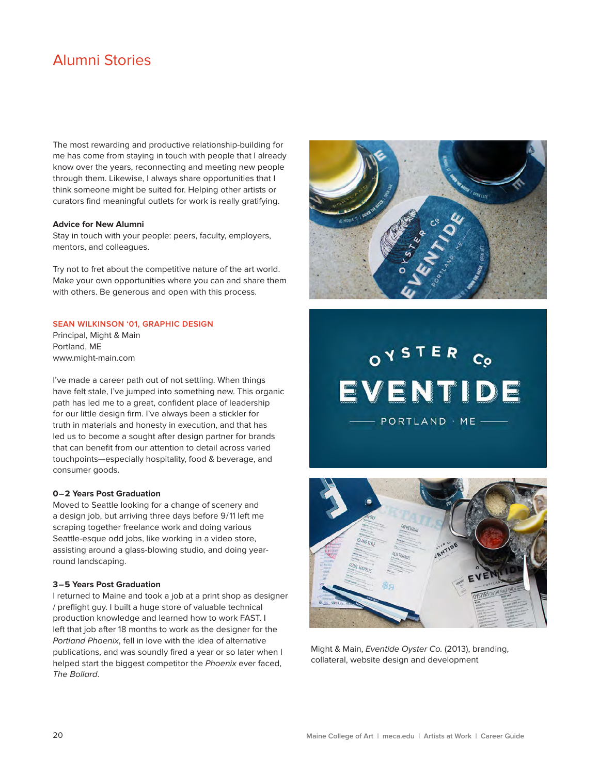# Alumni Stories

The most rewarding and productive relationship-building for me has come from staying in touch with people that I already know over the years, reconnecting and meeting new people through them. Likewise, I always share opportunities that I think someone might be suited for. Helping other artists or curators find meaningful outlets for work is really gratifying.

#### **Advice for New Alumni**

Stay in touch with your people: peers, faculty, employers, mentors, and colleagues.

Try not to fret about the competitive nature of the art world. Make your own opportunities where you can and share them with others. Be generous and open with this process.

### **SEAN WILKINSON '01, GRAPHIC DESIGN**

Principal, Might & Main Portland, ME www.might-main.com

I've made a career path out of not settling. When things have felt stale, I've jumped into something new. This organic path has led me to a great, confident place of leadership for our little design firm. I've always been a stickler for truth in materials and honesty in execution, and that has led us to become a sought after design partner for brands that can benefit from our attention to detail across varied touchpoints—especially hospitality, food & beverage, and consumer goods.

#### **0–2 Years Post Graduation**

Moved to Seattle looking for a change of scenery and a design job, but arriving three days before 9/11 left me scraping together freelance work and doing various Seattle-esque odd jobs, like working in a video store, assisting around a glass-blowing studio, and doing yearround landscaping.

#### **3–5 Years Post Graduation**

I returned to Maine and took a job at a print shop as designer / preflight guy. I built a huge store of valuable technical production knowledge and learned how to work FAST. I left that job after 18 months to work as the designer for the Portland Phoenix, fell in love with the idea of alternative publications, and was soundly fired a year or so later when I helped start the biggest competitor the Phoenix ever faced, The Bollard.



# OYSTER EVENTIDE - PORTLAND · ME -



Might & Main, Eventide Oyster Co. (2013), branding, collateral, website design and development